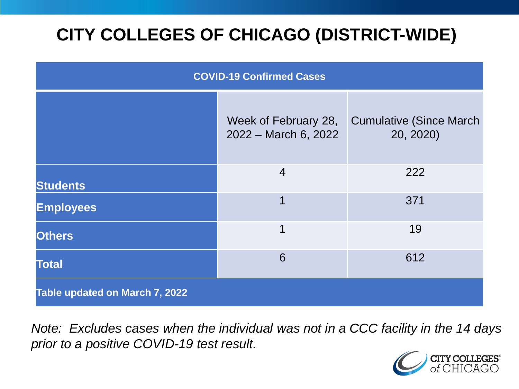# **CITY COLLEGES OF CHICAGO (DISTRICT-WIDE)**

| <b>COVID-19 Confirmed Cases</b> |                                              |                                              |
|---------------------------------|----------------------------------------------|----------------------------------------------|
|                                 | Week of February 28,<br>2022 - March 6, 2022 | <b>Cumulative (Since March)</b><br>20, 2020) |
| <b>Students</b>                 | $\overline{4}$                               | 222                                          |
| <b>Employees</b>                | 1                                            | 371                                          |
| <b>Others</b>                   | 1                                            | 19                                           |
| <b>Total</b>                    | 6                                            | 612                                          |
| Table updated on March 7, 2022  |                                              |                                              |

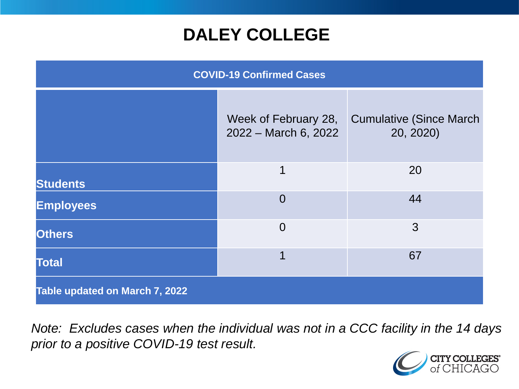## **DALEY COLLEGE**

| <b>COVID-19 Confirmed Cases</b> |                                              |                                              |
|---------------------------------|----------------------------------------------|----------------------------------------------|
|                                 | Week of February 28,<br>2022 - March 6, 2022 | <b>Cumulative (Since March)</b><br>20, 2020) |
| <b>Students</b>                 | $\mathbf 1$                                  | 20                                           |
| <b>Employees</b>                | $\Omega$                                     | 44                                           |
| <b>Others</b>                   | $\overline{0}$                               | 3                                            |
| <b>Total</b>                    | 1                                            | 67                                           |
| Table updated on March 7, 2022  |                                              |                                              |

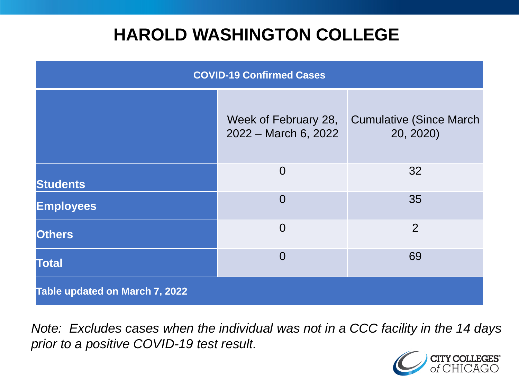## **HAROLD WASHINGTON COLLEGE**

| <b>COVID-19 Confirmed Cases</b> |                                              |                                              |
|---------------------------------|----------------------------------------------|----------------------------------------------|
|                                 | Week of February 28,<br>2022 - March 6, 2022 | <b>Cumulative (Since March)</b><br>20, 2020) |
| <b>Students</b>                 | $\overline{0}$                               | 32                                           |
| <b>Employees</b>                | $\Omega$                                     | 35                                           |
| <b>Others</b>                   | $\overline{0}$                               | $\overline{2}$                               |
| <b>Total</b>                    | $\Omega$                                     | 69                                           |
| Table updated on March 7, 2022  |                                              |                                              |

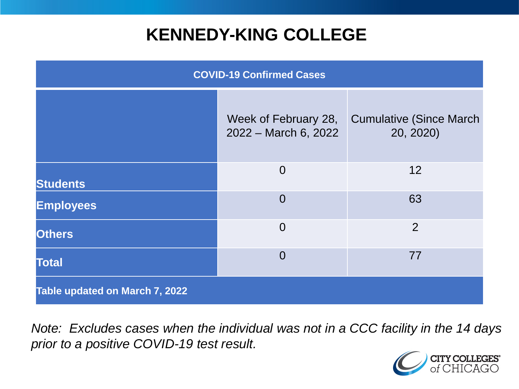## **KENNEDY-KING COLLEGE**

| <b>COVID-19 Confirmed Cases</b> |                                              |                                              |
|---------------------------------|----------------------------------------------|----------------------------------------------|
|                                 | Week of February 28,<br>2022 – March 6, 2022 | <b>Cumulative (Since March)</b><br>20, 2020) |
| <b>Students</b>                 | $\overline{0}$                               | 12                                           |
| <b>Employees</b>                | $\overline{0}$                               | 63                                           |
| <b>Others</b>                   | $\overline{0}$                               | 2                                            |
| <b>Total</b>                    | $\overline{0}$                               | 77                                           |
| Table updated on March 7, 2022  |                                              |                                              |

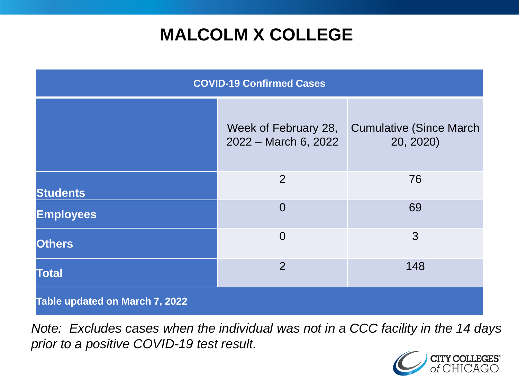# **MALCOLM X COLLEGE**

| <b>COVID-19 Confirmed Cases</b> |                                              |                                              |
|---------------------------------|----------------------------------------------|----------------------------------------------|
|                                 | Week of February 28,<br>2022 - March 6, 2022 | <b>Cumulative (Since March)</b><br>20, 2020) |
| <b>Students</b>                 | 2                                            | 76                                           |
| <b>Employees</b>                | $\Omega$                                     | 69                                           |
| <b>Others</b>                   | $\overline{0}$                               | 3                                            |
| <b>Total</b>                    | $\overline{2}$                               | 148                                          |
| Table updated on March 7, 2022  |                                              |                                              |

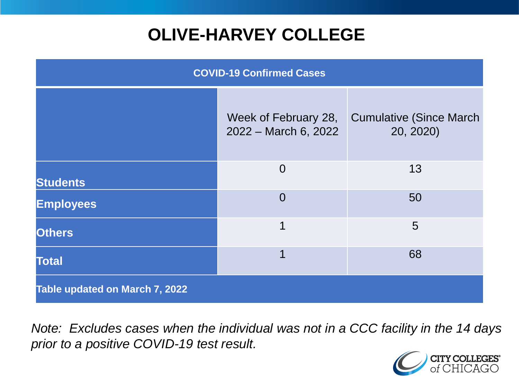# **OLIVE-HARVEY COLLEGE**

| <b>COVID-19 Confirmed Cases</b>       |                                              |                                              |
|---------------------------------------|----------------------------------------------|----------------------------------------------|
|                                       | Week of February 28,<br>2022 - March 6, 2022 | <b>Cumulative (Since March)</b><br>20, 2020) |
| <b>Students</b>                       | $\overline{0}$                               | 13                                           |
| <b>Employees</b>                      | $\overline{0}$                               | 50                                           |
| <b>Others</b>                         | 1                                            | 5                                            |
| <b>Total</b>                          | 1                                            | 68                                           |
| <b>Table updated on March 7, 2022</b> |                                              |                                              |

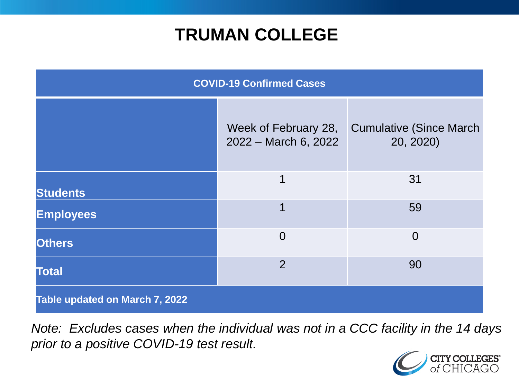## **TRUMAN COLLEGE**

| <b>COVID-19 Confirmed Cases</b> |                                              |                                              |
|---------------------------------|----------------------------------------------|----------------------------------------------|
|                                 | Week of February 28,<br>2022 - March 6, 2022 | <b>Cumulative (Since March)</b><br>20, 2020) |
| <b>Students</b>                 | 1                                            | 31                                           |
| <b>Employees</b>                | 1                                            | 59                                           |
| <b>Others</b>                   | $\overline{0}$                               | $\overline{0}$                               |
| <b>Total</b>                    | $\overline{2}$                               | 90                                           |
| Table updated on March 7, 2022  |                                              |                                              |

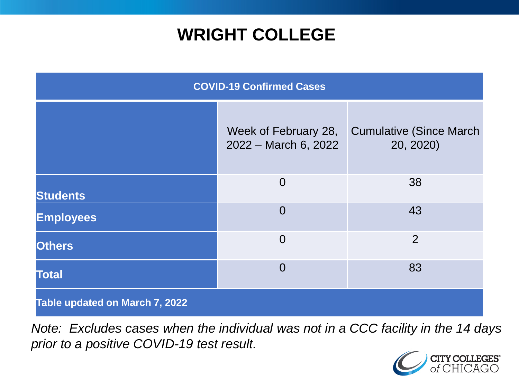## **WRIGHT COLLEGE**

| <b>COVID-19 Confirmed Cases</b> |                                              |                                              |
|---------------------------------|----------------------------------------------|----------------------------------------------|
|                                 | Week of February 28,<br>2022 - March 6, 2022 | <b>Cumulative (Since March)</b><br>20, 2020) |
| <b>Students</b>                 | $\overline{0}$                               | 38                                           |
| <b>Employees</b>                | $\overline{0}$                               | 43                                           |
| <b>Others</b>                   | $\overline{0}$                               | $\overline{2}$                               |
| <b>Total</b>                    | $\overline{0}$                               | 83                                           |
| Table updated on March 7, 2022  |                                              |                                              |

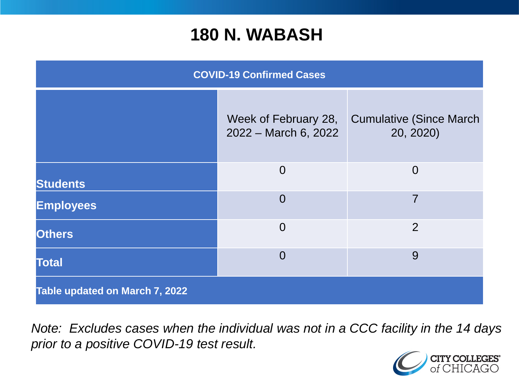#### **180 N. WABASH**

| <b>COVID-19 Confirmed Cases</b> |                                              |                                              |
|---------------------------------|----------------------------------------------|----------------------------------------------|
|                                 | Week of February 28,<br>2022 - March 6, 2022 | <b>Cumulative (Since March)</b><br>20, 2020) |
| <b>Students</b>                 | $\overline{0}$                               | $\overline{0}$                               |
| <b>Employees</b>                | $\Omega$                                     | $\overline{7}$                               |
| <b>Others</b>                   | $\overline{0}$                               | $\overline{2}$                               |
| <b>Total</b>                    | $\Omega$                                     | 9                                            |
| Table updated on March 7, 2022  |                                              |                                              |